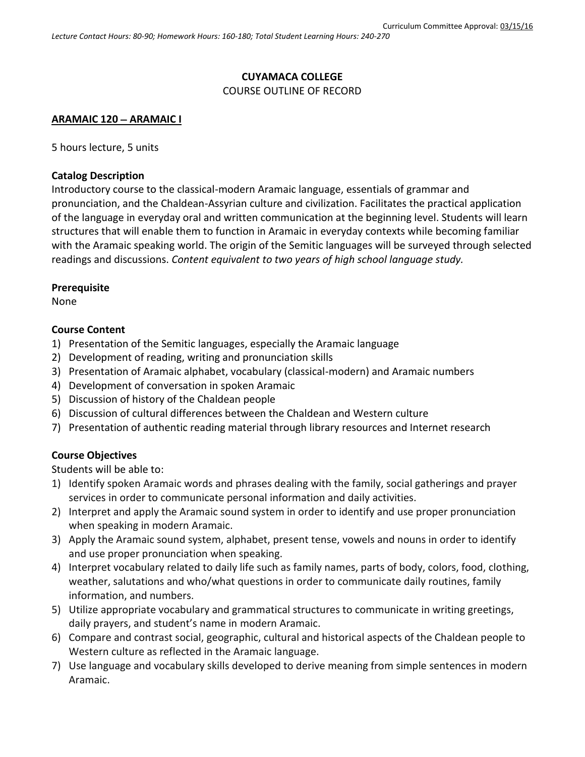## **CUYAMACA COLLEGE**

#### COURSE OUTLINE OF RECORD

#### **ARAMAIC 120 ARAMAIC I**

5 hours lecture, 5 units

#### **Catalog Description**

Introductory course to the classical-modern Aramaic language, essentials of grammar and pronunciation, and the Chaldean-Assyrian culture and civilization. Facilitates the practical application of the language in everyday oral and written communication at the beginning level. Students will learn structures that will enable them to function in Aramaic in everyday contexts while becoming familiar with the Aramaic speaking world. The origin of the Semitic languages will be surveyed through selected readings and discussions. *Content equivalent to two years of high school language study.*

## **Prerequisite**

None

## **Course Content**

- 1) Presentation of the Semitic languages, especially the Aramaic language
- 2) Development of reading, writing and pronunciation skills
- 3) Presentation of Aramaic alphabet, vocabulary (classical-modern) and Aramaic numbers
- 4) Development of conversation in spoken Aramaic
- 5) Discussion of history of the Chaldean people
- 6) Discussion of cultural differences between the Chaldean and Western culture
- 7) Presentation of authentic reading material through library resources and Internet research

## **Course Objectives**

Students will be able to:

- 1) Identify spoken Aramaic words and phrases dealing with the family, social gatherings and prayer services in order to communicate personal information and daily activities.
- 2) Interpret and apply the Aramaic sound system in order to identify and use proper pronunciation when speaking in modern Aramaic.
- 3) Apply the Aramaic sound system, alphabet, present tense, vowels and nouns in order to identify and use proper pronunciation when speaking.
- 4) Interpret vocabulary related to daily life such as family names, parts of body, colors, food, clothing, weather, salutations and who/what questions in order to communicate daily routines, family information, and numbers.
- 5) Utilize appropriate vocabulary and grammatical structures to communicate in writing greetings, daily prayers, and student's name in modern Aramaic.
- 6) Compare and contrast social, geographic, cultural and historical aspects of the Chaldean people to Western culture as reflected in the Aramaic language.
- 7) Use language and vocabulary skills developed to derive meaning from simple sentences in modern Aramaic.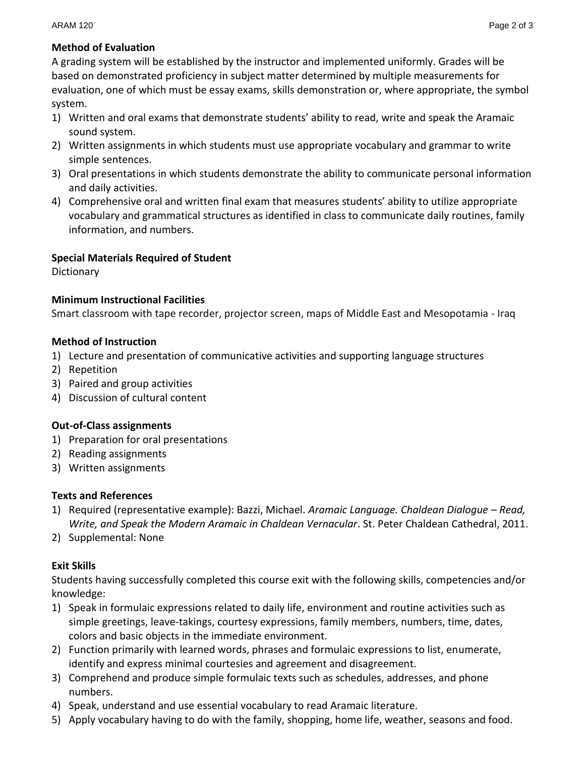# **Method of Evaluation**

A grading system will be established by the instructor and implemented uniformly. Grades will be based on demonstrated proficiency in subject matter determined by multiple measurements for evaluation, one of which must be essay exams, skills demonstration or, where appropriate, the symbol system.

- 1) Written and oral exams that demonstrate students' ability to read, write and speak the Aramaic sound system.
- 2) Written assignments in which students must use appropriate vocabulary and grammar to write simple sentences.
- 3) Oral presentations in which students demonstrate the ability to communicate personal information and daily activities.
- 4) Comprehensive oral and written final exam that measures students' ability to utilize appropriate vocabulary and grammatical structures as identified in class to communicate daily routines, family information, and numbers.

# **Special Materials Required of Student**

**Dictionary** 

## **Minimum Instructional Facilities**

Smart classroom with tape recorder, projector screen, maps of Middle East and Mesopotamia - Iraq

## **Method of Instruction**

- 1) Lecture and presentation of communicative activities and supporting language structures
- 2) Repetition
- 3) Paired and group activities
- 4) Discussion of cultural content

## **Out-of-Class assignments**

- 1) Preparation for oral presentations
- 2) Reading assignments
- 3) Written assignments

# **Texts and References**

- 1) Required (representative example): Bazzi, Michael. *Aramaic Language. Chaldean Dialogue – Read, Write, and Speak the Modern Aramaic in Chaldean Vernacular*. St. Peter Chaldean Cathedral, 2011.
- 2) Supplemental: None

# **Exit Skills**

Students having successfully completed this course exit with the following skills, competencies and/or knowledge:

- 1) Speak in formulaic expressions related to daily life, environment and routine activities such as simple greetings, leave-takings, courtesy expressions, family members, numbers, time, dates, colors and basic objects in the immediate environment.
- 2) Function primarily with learned words, phrases and formulaic expressions to list, enumerate, identify and express minimal courtesies and agreement and disagreement.
- 3) Comprehend and produce simple formulaic texts such as schedules, addresses, and phone numbers.
- 4) Speak, understand and use essential vocabulary to read Aramaic literature.
- 5) Apply vocabulary having to do with the family, shopping, home life, weather, seasons and food.